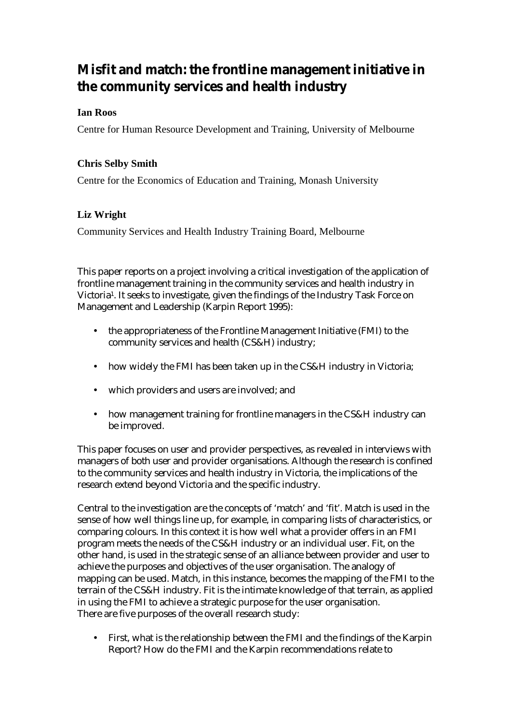# **Misfit and match: the frontline management initiative in the community services and health industry**

# **Ian Roos**

Centre for Human Resource Development and Training, University of Melbourne

# **Chris Selby Smith**

Centre for the Economics of Education and Training, Monash University

# **Liz Wright**

Community Services and Health Industry Training Board, Melbourne

This paper reports on a project involving a critical investigation of the application of frontline management training in the community services and health industry in Victoria1. It seeks to investigate, given the findings of the Industry Task Force on Management and Leadership (Karpin Report 1995):

- the appropriateness of the Frontline Management Initiative (FMI) to the community services and health (CS&H) industry;
- how widely the FMI has been taken up in the CS&H industry in Victoria;
- which providers and users are involved; and
- how management training for frontline managers in the CS&H industry can be improved.

This paper focuses on user and provider perspectives, as revealed in interviews with managers of both user and provider organisations. Although the research is confined to the community services and health industry in Victoria, the implications of the research extend beyond Victoria and the specific industry.

Central to the investigation are the concepts of 'match' and 'fit'. Match is used in the sense of how well things line up, for example, in comparing lists of characteristics, or comparing colours. In this context it is how well what a provider offers in an FMI program meets the needs of the CS&H industry or an individual user. Fit, on the other hand, is used in the strategic sense of an alliance between provider and user to achieve the purposes and objectives of the user organisation. The analogy of mapping can be used. Match, in this instance, becomes the mapping of the FMI to the terrain of the CS&H industry. Fit is the intimate knowledge of that terrain, as applied in using the FMI to achieve a strategic purpose for the user organisation. There are five purposes of the overall research study:

• First, what is the relationship between the FMI and the findings of the Karpin Report? How do the FMI and the Karpin recommendations relate to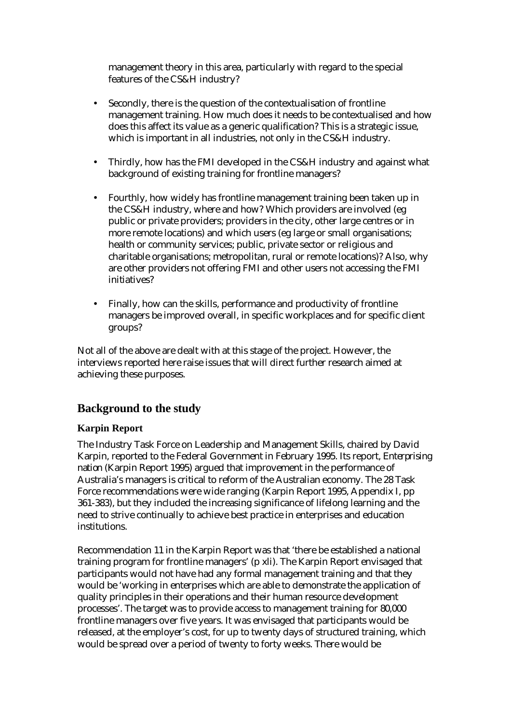management theory in this area, particularly with regard to the special features of the CS&H industry?

- Secondly, there is the question of the contextualisation of frontline management training. How much does it needs to be contextualised and how does this affect its value as a generic qualification? This is a strategic issue, which is important in all industries, not only in the CS&H industry.
- Thirdly, how has the FMI developed in the CS&H industry and against what background of existing training for frontline managers?
- Fourthly, how widely has frontline management training been taken up in the CS&H industry, where and how? Which providers are involved (eg public or private providers; providers in the city, other large centres or in more remote locations) and which users (eg large or small organisations; health or community services; public, private sector or religious and charitable organisations; metropolitan, rural or remote locations)? Also, why are other providers not offering FMI and other users not accessing the FMI initiatives?
- Finally, how can the skills, performance and productivity of frontline managers be improved overall, in specific workplaces and for specific client groups?

Not all of the above are dealt with at this stage of the project. However, the interviews reported here raise issues that will direct further research aimed at achieving these purposes.

# **Background to the study**

## **Karpin Report**

The Industry Task Force on Leadership and Management Skills, chaired by David Karpin, reported to the Federal Government in February 1995. Its report, *Enterprising nation* (Karpin Report 1995) argued that improvement in the performance of Australia's managers is critical to reform of the Australian economy. The 28 Task Force recommendations were wide ranging (Karpin Report 1995, Appendix I, pp 361-383), but they included the increasing significance of lifelong learning and the need to strive continually to achieve best practice in enterprises and education institutions.

Recommendation 11 in the Karpin Report was that 'there be established a national training program for frontline managers' (p xli). The Karpin Report envisaged that participants would not have had any formal management training and that they would be 'working in enterprises which are able to demonstrate the application of quality principles in their operations and their human resource development processes'. The target was to provide access to management training for 80,000 frontline managers over five years. It was envisaged that participants would be released, at the employer's cost, for up to twenty days of structured training, which would be spread over a period of twenty to forty weeks. There would be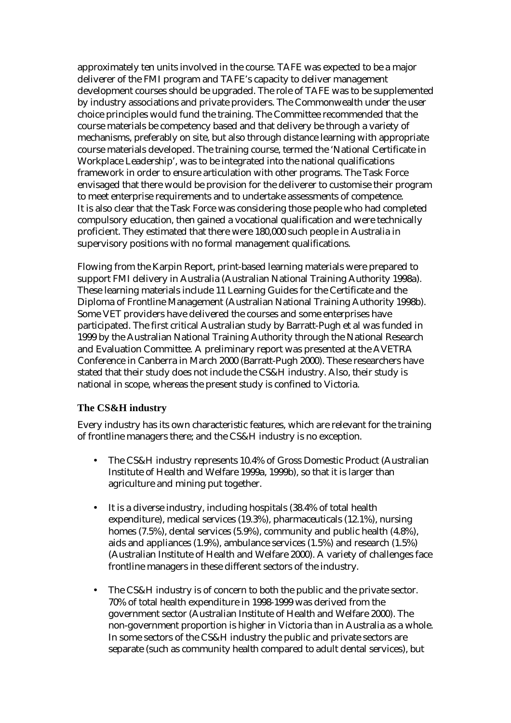approximately ten units involved in the course. TAFE was expected to be a major deliverer of the FMI program and TAFE's capacity to deliver management development courses should be upgraded. The role of TAFE was to be supplemented by industry associations and private providers. The Commonwealth under the user choice principles would fund the training. The Committee recommended that the course materials be competency based and that delivery be through a variety of mechanisms, preferably on site, but also through distance learning with appropriate course materials developed. The training course, termed the 'National Certificate in Workplace Leadership', was to be integrated into the national qualifications framework in order to ensure articulation with other programs. The Task Force envisaged that there would be provision for the deliverer to customise their program to meet enterprise requirements and to undertake assessments of competence. It is also clear that the Task Force was considering those people who had completed compulsory education, then gained a vocational qualification and were technically proficient. They estimated that there were 180,000 such people in Australia in supervisory positions with no formal management qualifications.

Flowing from the Karpin Report, print-based learning materials were prepared to support FMI delivery in Australia (Australian National Training Authority 1998a). These learning materials include 11 Learning Guides for the Certificate and the Diploma of Frontline Management (Australian National Training Authority 1998b). Some VET providers have delivered the courses and some enterprises have participated. The first critical Australian study by Barratt-Pugh et al was funded in 1999 by the Australian National Training Authority through the National Research and Evaluation Committee. A preliminary report was presented at the AVETRA Conference in Canberra in March 2000 (Barratt-Pugh 2000). These researchers have stated that their study does not include the CS&H industry. Also, their study is national in scope, whereas the present study is confined to Victoria.

### **The CS&H industry**

Every industry has its own characteristic features, which are relevant for the training of frontline managers there; and the CS&H industry is no exception.

- The CS&H industry represents 10.4% of Gross Domestic Product (Australian Institute of Health and Welfare 1999a, 1999b), so that it is larger than agriculture and mining put together.
- It is a diverse industry, including hospitals (38.4% of total health expenditure), medical services (19.3%), pharmaceuticals (12.1%), nursing homes (7.5%), dental services (5.9%), community and public health (4.8%), aids and appliances (1.9%), ambulance services (1.5%) and research (1.5%) (Australian Institute of Health and Welfare 2000). A variety of challenges face frontline managers in these different sectors of the industry.
- The CS&H industry is of concern to both the public and the private sector. 70% of total health expenditure in 1998-1999 was derived from the government sector (Australian Institute of Health and Welfare 2000). The non-government proportion is higher in Victoria than in Australia as a whole. In some sectors of the CS&H industry the public and private sectors are separate (such as community health compared to adult dental services), but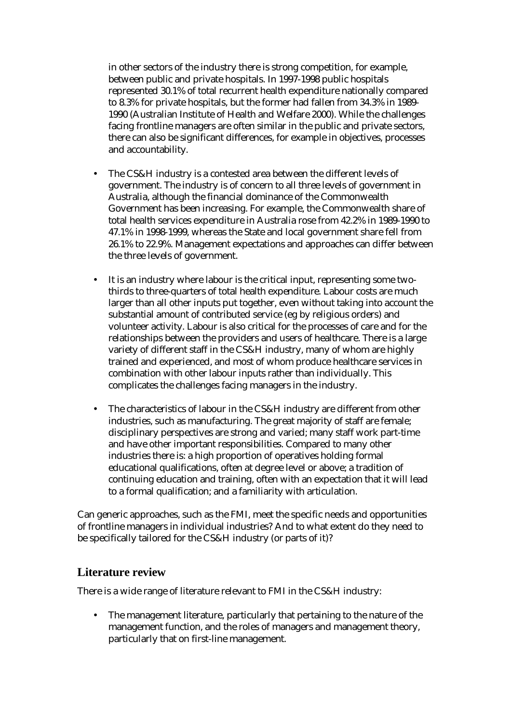in other sectors of the industry there is strong competition, for example, between public and private hospitals. In 1997-1998 public hospitals represented 30.1% of total recurrent health expenditure nationally compared to 8.3% for private hospitals, but the former had fallen from 34.3% in 1989- 1990 (Australian Institute of Health and Welfare 2000). While the challenges facing frontline managers are often similar in the public and private sectors, there can also be significant differences, for example in objectives, processes and accountability.

- The CS&H industry is a contested area between the different levels of government. The industry is of concern to all three levels of government in Australia, although the financial dominance of the Commonwealth Government has been increasing. For example, the Commonwealth share of total health services expenditure in Australia rose from 42.2% in 1989-1990 to 47.1% in 1998-1999, whereas the State and local government share fell from 26.1% to 22.9%. Management expectations and approaches can differ between the three levels of government.
- It is an industry where labour is the critical input, representing some twothirds to three-quarters of total health expenditure. Labour costs are much larger than all other inputs put together, even without taking into account the substantial amount of contributed service (eg by religious orders) and volunteer activity. Labour is also critical for the processes of care and for the relationships between the providers and users of healthcare. There is a large variety of different staff in the CS&H industry, many of whom are highly trained and experienced, and most of whom produce healthcare services in combination with other labour inputs rather than individually. This complicates the challenges facing managers in the industry.
- The characteristics of labour in the CS&H industry are different from other industries, such as manufacturing. The great majority of staff are female; disciplinary perspectives are strong and varied; many staff work part-time and have other important responsibilities. Compared to many other industries there is: a high proportion of operatives holding formal educational qualifications, often at degree level or above; a tradition of continuing education and training, often with an expectation that it will lead to a formal qualification; and a familiarity with articulation.

Can generic approaches, such as the FMI, meet the specific needs and opportunities of frontline managers in individual industries? And to what extent do they need to be specifically tailored for the CS&H industry (or parts of it)?

# **Literature review**

There is a wide range of literature relevant to FMI in the CS&H industry:

• The management literature, particularly that pertaining to the nature of the management function, and the roles of managers and management theory, particularly that on first-line management.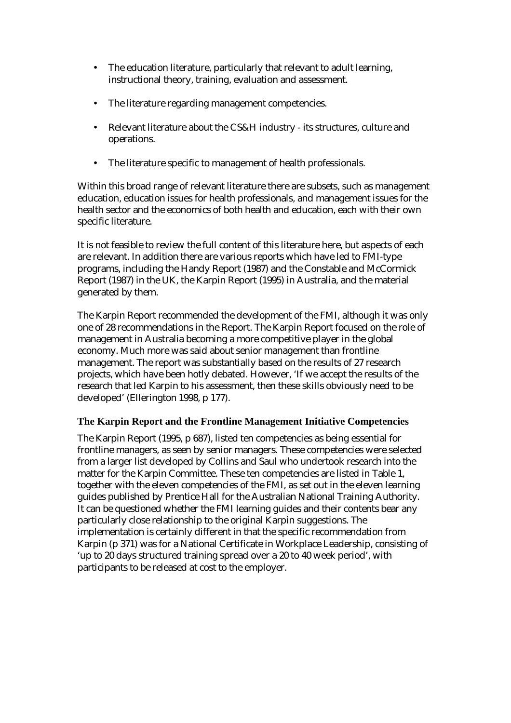- The education literature, particularly that relevant to adult learning, instructional theory, training, evaluation and assessment.
- The literature regarding management competencies.
- Relevant literature about the CS&H industry its structures, culture and operations.
- The literature specific to management of health professionals.

Within this broad range of relevant literature there are subsets, such as management education, education issues for health professionals, and management issues for the health sector and the economics of both health and education, each with their own specific literature.

It is not feasible to review the full content of this literature here, but aspects of each are relevant. In addition there are various reports which have led to FMI-type programs, including the Handy Report (1987) and the Constable and McCormick Report (1987) in the UK, the Karpin Report (1995) in Australia, and the material generated by them.

The Karpin Report recommended the development of the FMI, although it was only one of 28 recommendations in the Report. The Karpin Report focused on the role of management in Australia becoming a more competitive player in the global economy. Much more was said about senior management than frontline management. The report was substantially based on the results of 27 research projects, which have been hotly debated. However, 'If we accept the results of the research that led Karpin to his assessment, then these skills obviously need to be developed' (Ellerington 1998, p 177).

## **The Karpin Report and the Frontline Management Initiative Competencies**

The Karpin Report (1995, p 687), listed ten competencies as being essential for frontline managers, as seen by senior managers. These competencies were selected from a larger list developed by Collins and Saul who undertook research into the matter for the Karpin Committee. These ten competencies are listed in Table 1, together with the eleven competencies of the FMI, as set out in the eleven learning guides published by Prentice Hall for the Australian National Training Authority. It can be questioned whether the FMI learning guides and their contents bear any particularly close relationship to the original Karpin suggestions. The implementation is certainly different in that the specific recommendation from Karpin (p 371) was for a National Certificate in Workplace Leadership, consisting of 'up to 20 days structured training spread over a 20 to 40 week period', with participants to be released at cost to the employer.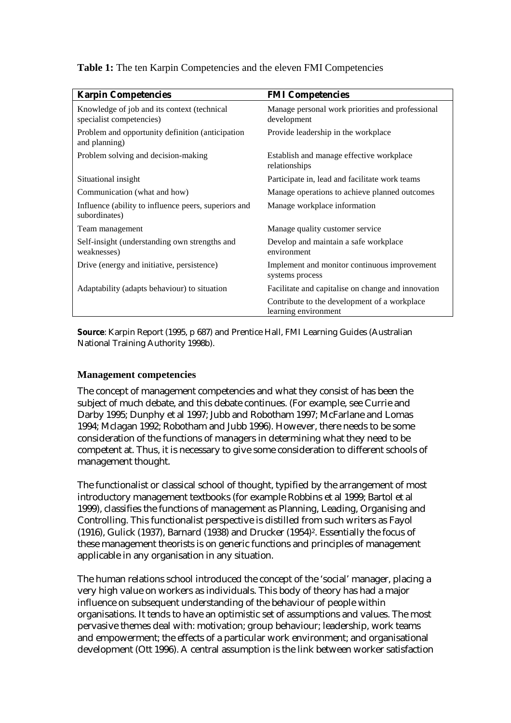| <b>Karpin Competencies</b>                                              | <b>FMI Competencies</b>                                              |  |
|-------------------------------------------------------------------------|----------------------------------------------------------------------|--|
| Knowledge of job and its context (technical<br>specialist competencies) | Manage personal work priorities and professional<br>development      |  |
| Problem and opportunity definition (anticipation)<br>and planning)      | Provide leadership in the workplace                                  |  |
| Problem solving and decision-making                                     | Establish and manage effective workplace<br>relationships            |  |
| Situational insight                                                     | Participate in, lead and facilitate work teams                       |  |
| Communication (what and how)                                            | Manage operations to achieve planned outcomes                        |  |
| Influence (ability to influence peers, superiors and<br>subordinates)   | Manage workplace information                                         |  |
| Team management                                                         | Manage quality customer service                                      |  |
| Self-insight (understanding own strengths and<br>weaknesses)            | Develop and maintain a safe workplace<br>environment                 |  |
| Drive (energy and initiative, persistence)                              | Implement and monitor continuous improvement<br>systems process      |  |
| Adaptability (adapts behaviour) to situation                            | Facilitate and capitalise on change and innovation                   |  |
|                                                                         | Contribute to the development of a workplace<br>learning environment |  |

**Table 1:** The ten Karpin Competencies and the eleven FMI Competencies

**Source**: Karpin Report (1995, p 687) and Prentice Hall, FMI Learning Guides (Australian National Training Authority 1998b).

#### **Management competencies**

The concept of management competencies and what they consist of has been the subject of much debate, and this debate continues. (For example, see Currie and Darby 1995; Dunphy et al 1997; Jubb and Robotham 1997; McFarlane and Lomas 1994; Mclagan 1992; Robotham and Jubb 1996). However, there needs to be some consideration of the functions of managers in determining what they need to be competent at. Thus, it is necessary to give some consideration to different schools of management thought.

The functionalist or classical school of thought, typified by the arrangement of most introductory management textbooks (for example Robbins et al 1999; Bartol et al 1999), classifies the functions of management as Planning, Leading, Organising and Controlling. This functionalist perspective is distilled from such writers as Fayol (1916), Gulick (1937), Barnard (1938) and Drucker (1954)2. Essentially the focus of these management theorists is on generic functions and principles of management applicable in any organisation in any situation.

The human relations school introduced the concept of the 'social' manager, placing a very high value on workers as individuals. This body of theory has had a major influence on subsequent understanding of the behaviour of people within organisations. It tends to have an optimistic set of assumptions and values. The most pervasive themes deal with: motivation; group behaviour; leadership, work teams and empowerment; the effects of a particular work environment; and organisational development (Ott 1996). A central assumption is the link between worker satisfaction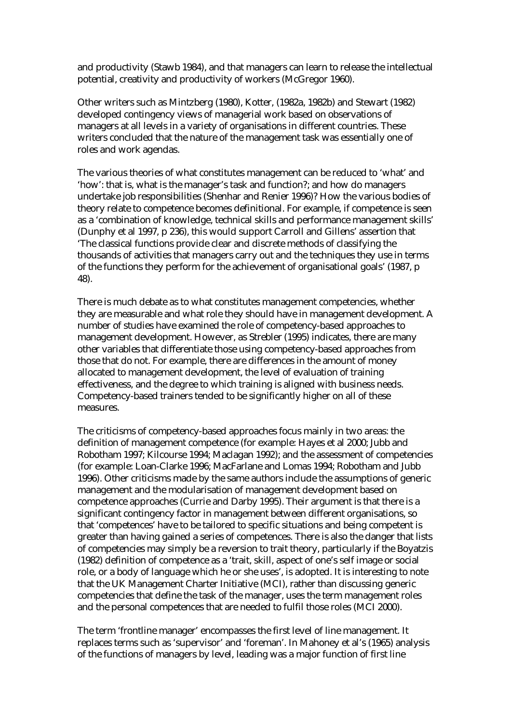and productivity (Stawb 1984), and that managers can learn to release the intellectual potential, creativity and productivity of workers (McGregor 1960).

Other writers such as Mintzberg (1980), Kotter, (1982a, 1982b) and Stewart (1982) developed contingency views of managerial work based on observations of managers at all levels in a variety of organisations in different countries. These writers concluded that the nature of the management task was essentially one of roles and work agendas.

The various theories of what constitutes management can be reduced to 'what' and 'how': that is, what is the manager's task and function?; and how do managers undertake job responsibilities (Shenhar and Renier 1996)? How the various bodies of theory relate to competence becomes definitional. For example, if competence is seen as a 'combination of knowledge, technical skills and performance management skills' (Dunphy et al 1997, p 236), this would support Carroll and Gillens' assertion that 'The classical functions provide clear and discrete methods of classifying the thousands of activities that managers carry out and the techniques they use in terms of the functions they perform for the achievement of organisational goals' (1987, p 48).

There is much debate as to what constitutes management competencies, whether they are measurable and what role they should have in management development. A number of studies have examined the role of competency-based approaches to management development. However, as Strebler (1995) indicates, there are many other variables that differentiate those using competency-based approaches from those that do not. For example, there are differences in the amount of money allocated to management development, the level of evaluation of training effectiveness, and the degree to which training is aligned with business needs. Competency-based trainers tended to be significantly higher on all of these measures.

The criticisms of competency-based approaches focus mainly in two areas: the definition of management competence (for example: Hayes et al 2000; Jubb and Robotham 1997; Kilcourse 1994; Maclagan 1992); and the assessment of competencies (for example: Loan-Clarke 1996; MacFarlane and Lomas 1994; Robotham and Jubb 1996). Other criticisms made by the same authors include the assumptions of generic management and the modularisation of management development based on competence approaches (Currie and Darby 1995). Their argument is that there is a significant contingency factor in management between different organisations, so that 'competences' have to be tailored to specific situations and being competent is greater than having gained a series of competences. There is also the danger that lists of competencies may simply be a reversion to trait theory, particularly if the Boyatzis (1982) definition of competence as a 'trait, skill, aspect of one's self image or social role, or a body of language which he or she uses', is adopted. It is interesting to note that the UK Management Charter Initiative (MCI), rather than discussing generic competencies that define the task of the manager, uses the term management roles and the personal competences that are needed to fulfil those roles (MCI 2000).

The term 'frontline manager' encompasses the first level of line management. It replaces terms such as 'supervisor' and 'foreman'. In Mahoney et al's (1965) analysis of the functions of managers by level, leading was a major function of first line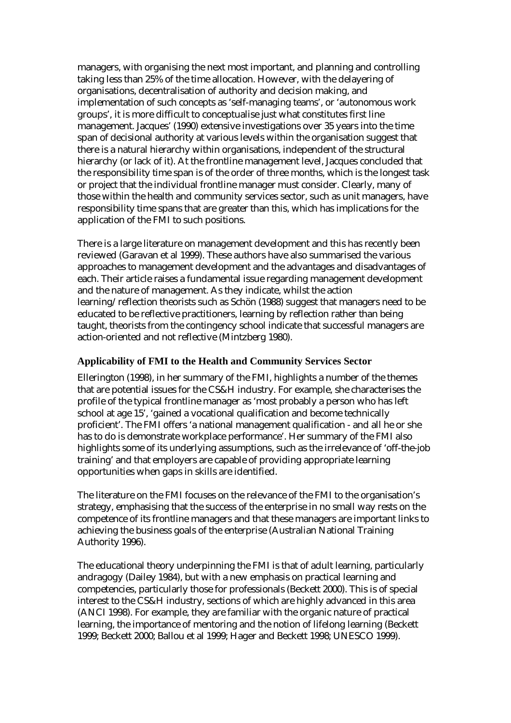managers, with organising the next most important, and planning and controlling taking less than 25% of the time allocation. However, with the delayering of organisations, decentralisation of authority and decision making, and implementation of such concepts as 'self-managing teams', or 'autonomous work groups', it is more difficult to conceptualise just what constitutes first line management. Jacques' (1990) extensive investigations over 35 years into the time span of decisional authority at various levels within the organisation suggest that there is a natural hierarchy within organisations, independent of the structural hierarchy (or lack of it). At the frontline management level, Jacques concluded that the responsibility time span is of the order of three months, which is the longest task or project that the individual frontline manager must consider. Clearly, many of those within the health and community services sector, such as unit managers, have responsibility time spans that are greater than this, which has implications for the application of the FMI to such positions.

There is a large literature on management development and this has recently been reviewed (Garavan et al 1999). These authors have also summarised the various approaches to management development and the advantages and disadvantages of each. Their article raises a fundamental issue regarding management development and the nature of management. As they indicate, whilst the action learning/reflection theorists such as Schön (1988) suggest that managers need to be educated to be reflective practitioners, learning by reflection rather than being taught, theorists from the contingency school indicate that successful managers are action-oriented and not reflective (Mintzberg 1980).

### **Applicability of FMI to the Health and Community Services Sector**

Ellerington (1998), in her summary of the FMI, highlights a number of the themes that are potential issues for the CS&H industry. For example, she characterises the profile of the typical frontline manager as 'most probably a person who has left school at age 15', 'gained a vocational qualification and become technically proficient'. The FMI offers 'a national management qualification - and all he or she has to do is demonstrate workplace performance'. Her summary of the FMI also highlights some of its underlying assumptions, such as the irrelevance of 'off-the-job training' and that employers are capable of providing appropriate learning opportunities when gaps in skills are identified.

The literature on the FMI focuses on the relevance of the FMI to the organisation's strategy, emphasising that the success of the enterprise in no small way rests on the competence of its frontline managers and that these managers are important links to achieving the business goals of the enterprise (Australian National Training Authority 1996).

The educational theory underpinning the FMI is that of adult learning, particularly andragogy (Dailey 1984), but with a new emphasis on practical learning and competencies, particularly those for professionals (Beckett 2000). This is of special interest to the CS&H industry, sections of which are highly advanced in this area (ANCI 1998). For example, they are familiar with the organic nature of practical learning, the importance of mentoring and the notion of lifelong learning (Beckett 1999; Beckett 2000; Ballou et al 1999; Hager and Beckett 1998; UNESCO 1999).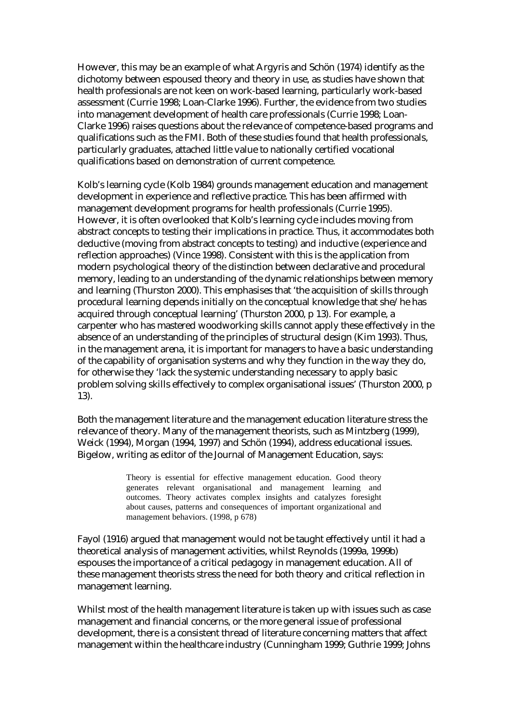However, this may be an example of what Argyris and Schön (1974) identify as the dichotomy between espoused theory and theory in use, as studies have shown that health professionals are not keen on work-based learning, particularly work-based assessment (Currie 1998; Loan-Clarke 1996). Further, the evidence from two studies into management development of health care professionals (Currie 1998; Loan-Clarke 1996) raises questions about the relevance of competence-based programs and qualifications such as the FMI. Both of these studies found that health professionals, particularly graduates, attached little value to nationally certified vocational qualifications based on demonstration of current competence.

Kolb's learning cycle (Kolb 1984) grounds management education and management development in experience and reflective practice. This has been affirmed with management development programs for health professionals (Currie 1995). However, it is often overlooked that Kolb's learning cycle includes moving from abstract concepts to testing their implications in practice. Thus, it accommodates both deductive (moving from abstract concepts to testing) and inductive (experience and reflection approaches) (Vince 1998). Consistent with this is the application from modern psychological theory of the distinction between declarative and procedural memory, leading to an understanding of the dynamic relationships between memory and learning (Thurston 2000). This emphasises that 'the acquisition of skills through procedural learning depends initially on the conceptual knowledge that she/he has acquired through conceptual learning' (Thurston 2000, p 13). For example, a carpenter who has mastered woodworking skills cannot apply these effectively in the absence of an understanding of the principles of structural design (Kim 1993). Thus, in the management arena, it is important for managers to have a basic understanding of the capability of organisation systems and why they function in the way they do, for otherwise they 'lack the systemic understanding necessary to apply basic problem solving skills effectively to complex organisational issues' (Thurston 2000, p 13).

Both the management literature and the management education literature stress the relevance of theory. Many of the management theorists, such as Mintzberg (1999), Weick (1994), Morgan (1994, 1997) and Schön (1994), address educational issues. Bigelow, writing as editor of the Journal of Management Education, says:

> Theory is essential for effective management education. Good theory generates relevant organisational and management learning and outcomes. Theory activates complex insights and catalyzes foresight about causes, patterns and consequences of important organizational and management behaviors. (1998, p 678)

Fayol (1916) argued that management would not be taught effectively until it had a theoretical analysis of management activities, whilst Reynolds (1999a, 1999b) espouses the importance of a critical pedagogy in management education. All of these management theorists stress the need for both theory and critical reflection in management learning.

Whilst most of the health management literature is taken up with issues such as case management and financial concerns, or the more general issue of professional development, there is a consistent thread of literature concerning matters that affect management within the healthcare industry (Cunningham 1999; Guthrie 1999; Johns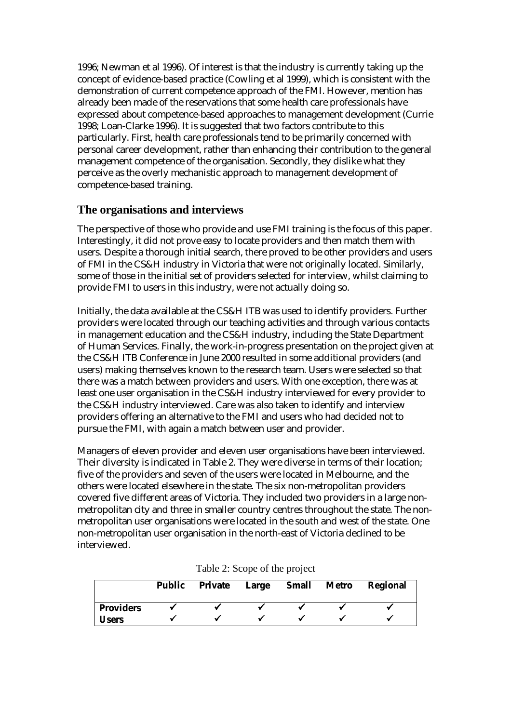1996; Newman et al 1996). Of interest is that the industry is currently taking up the concept of evidence-based practice (Cowling et al 1999), which is consistent with the demonstration of current competence approach of the FMI. However, mention has already been made of the reservations that some health care professionals have expressed about competence-based approaches to management development (Currie 1998; Loan-Clarke 1996). It is suggested that two factors contribute to this particularly. First, health care professionals tend to be primarily concerned with personal career development, rather than enhancing their contribution to the general management competence of the organisation. Secondly, they dislike what they perceive as the overly mechanistic approach to management development of competence-based training.

# **The organisations and interviews**

The perspective of those who provide and use FMI training is the focus of this paper. Interestingly, it did not prove easy to locate providers and then match them with users. Despite a thorough initial search, there proved to be other providers and users of FMI in the CS&H industry in Victoria that were not originally located. Similarly, some of those in the initial set of providers selected for interview, whilst claiming to provide FMI to users in this industry, were not actually doing so.

Initially, the data available at the CS&H ITB was used to identify providers. Further providers were located through our teaching activities and through various contacts in management education and the CS&H industry, including the State Department of Human Services. Finally, the work-in-progress presentation on the project given at the CS&H ITB Conference in June 2000 resulted in some additional providers (and users) making themselves known to the research team. Users were selected so that there was a match between providers and users. With one exception, there was at least one user organisation in the CS&H industry interviewed for every provider to the CS&H industry interviewed. Care was also taken to identify and interview providers offering an alternative to the FMI and users who had decided not to pursue the FMI, with again a match between user and provider.

Managers of eleven provider and eleven user organisations have been interviewed. Their diversity is indicated in Table 2. They were diverse in terms of their location; five of the providers and seven of the users were located in Melbourne, and the others were located elsewhere in the state. The six non-metropolitan providers covered five different areas of Victoria. They included two providers in a large nonmetropolitan city and three in smaller country centres throughout the state. The nonmetropolitan user organisations were located in the south and west of the state. One non-metropolitan user organisation in the north-east of Victoria declined to be interviewed.

|                  | <b>Public</b> | Private | Large | <b>Small Metro</b> | Regional |
|------------------|---------------|---------|-------|--------------------|----------|
| <b>Providers</b> |               |         |       |                    |          |
| <b>Users</b>     |               |         |       |                    |          |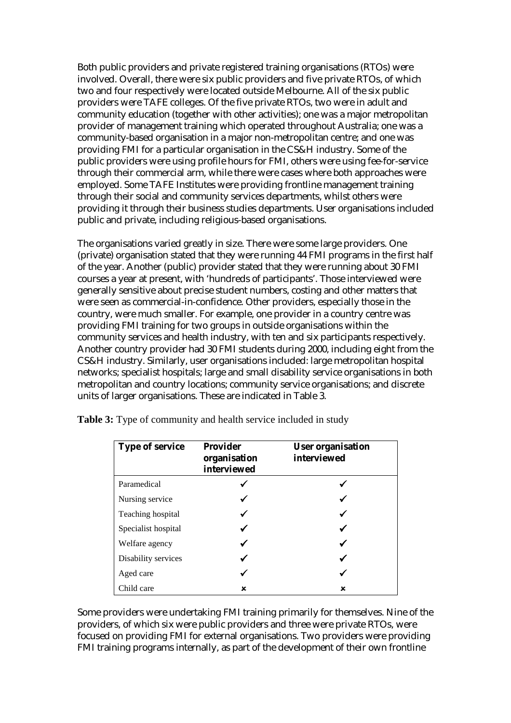Both public providers and private registered training organisations (RTOs) were involved. Overall, there were six public providers and five private RTOs, of which two and four respectively were located outside Melbourne. All of the six public providers were TAFE colleges. Of the five private RTOs, two were in adult and community education (together with other activities); one was a major metropolitan provider of management training which operated throughout Australia; one was a community-based organisation in a major non-metropolitan centre; and one was providing FMI for a particular organisation in the CS&H industry. Some of the public providers were using profile hours for FMI, others were using fee-for-service through their commercial arm, while there were cases where both approaches were employed. Some TAFE Institutes were providing frontline management training through their social and community services departments, whilst others were providing it through their business studies departments. User organisations included public and private, including religious-based organisations.

The organisations varied greatly in size. There were some large providers. One (private) organisation stated that they were running 44 FMI programs in the first half of the year. Another (public) provider stated that they were running about 30 FMI courses a year at present, with 'hundreds of participants'. Those interviewed were generally sensitive about precise student numbers, costing and other matters that were seen as commercial-in-confidence. Other providers, especially those in the country, were much smaller. For example, one provider in a country centre was providing FMI training for two groups in outside organisations within the community services and health industry, with ten and six participants respectively. Another country provider had 30 FMI students during 2000, including eight from the CS&H industry. Similarly, user organisations included: large metropolitan hospital networks; specialist hospitals; large and small disability service organisations in both metropolitan and country locations; community service organisations; and discrete units of larger organisations. These are indicated in Table 3.

| <b>Type of service</b> | <b>Provider</b><br>organisation<br>interviewed | <b>User organisation</b><br>interviewed |
|------------------------|------------------------------------------------|-----------------------------------------|
| Paramedical            |                                                |                                         |
| Nursing service        |                                                |                                         |
| Teaching hospital      |                                                |                                         |
| Specialist hospital    |                                                |                                         |
| Welfare agency         |                                                |                                         |
| Disability services    |                                                |                                         |
| Aged care              |                                                |                                         |
| Child care             | ×                                              | ×                                       |

**Table 3:** Type of community and health service included in study

Some providers were undertaking FMI training primarily for themselves. Nine of the providers, of which six were public providers and three were private RTOs, were focused on providing FMI for external organisations. Two providers were providing FMI training programs internally, as part of the development of their own frontline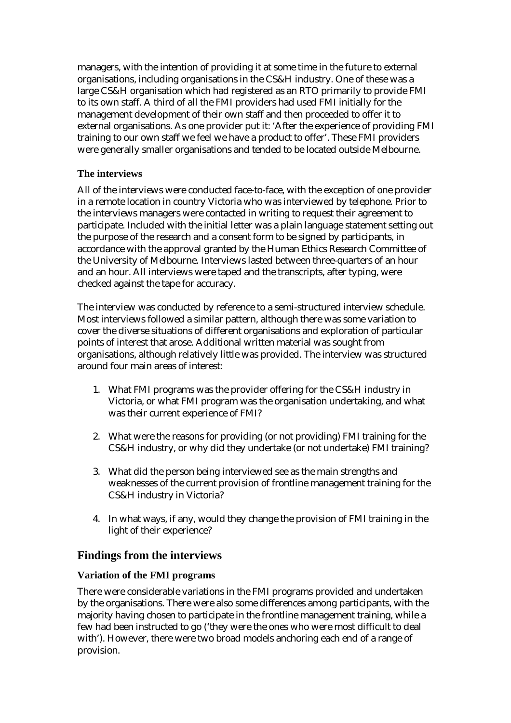managers, with the intention of providing it at some time in the future to external organisations, including organisations in the CS&H industry. One of these was a large CS&H organisation which had registered as an RTO primarily to provide FMI to its own staff. A third of all the FMI providers had used FMI initially for the management development of their own staff and then proceeded to offer it to external organisations. As one provider put it: 'After the experience of providing FMI training to our own staff we feel we have a product to offer'. These FMI providers were generally smaller organisations and tended to be located outside Melbourne.

## **The interviews**

All of the interviews were conducted face-to-face, with the exception of one provider in a remote location in country Victoria who was interviewed by telephone. Prior to the interviews managers were contacted in writing to request their agreement to participate. Included with the initial letter was a plain language statement setting out the purpose of the research and a consent form to be signed by participants, in accordance with the approval granted by the Human Ethics Research Committee of the University of Melbourne. Interviews lasted between three-quarters of an hour and an hour. All interviews were taped and the transcripts, after typing, were checked against the tape for accuracy.

The interview was conducted by reference to a semi-structured interview schedule. Most interviews followed a similar pattern, although there was some variation to cover the diverse situations of different organisations and exploration of particular points of interest that arose. Additional written material was sought from organisations, although relatively little was provided. The interview was structured around four main areas of interest:

- 1. What FMI programs was the provider offering for the CS&H industry in Victoria, or what FMI program was the organisation undertaking, and what was their current experience of FMI?
- 2. What were the reasons for providing (or not providing) FMI training for the CS&H industry, or why did they undertake (or not undertake) FMI training?
- 3. What did the person being interviewed see as the main strengths and weaknesses of the current provision of frontline management training for the CS&H industry in Victoria?
- 4. In what ways, if any, would they change the provision of FMI training in the light of their experience?

# **Findings from the interviews**

## **Variation of the FMI programs**

There were considerable variations in the FMI programs provided and undertaken by the organisations. There were also some differences among participants, with the majority having chosen to participate in the frontline management training, while a few had been instructed to go ('they were the ones who were most difficult to deal with'). However, there were two broad models anchoring each end of a range of provision.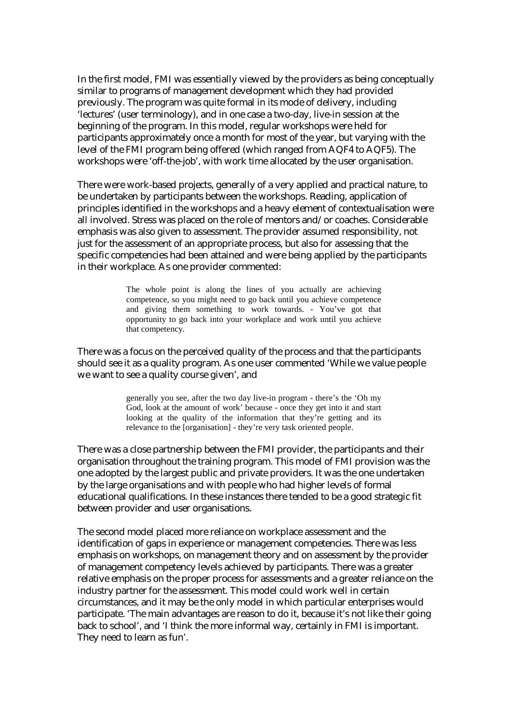In the first model, FMI was essentially viewed by the providers as being conceptually similar to programs of management development which they had provided previously. The program was quite formal in its mode of delivery, including 'lectures' (user terminology), and in one case a two-day, live-in session at the beginning of the program. In this model, regular workshops were held for participants approximately once a month for most of the year, but varying with the level of the FMI program being offered (which ranged from AQF4 to AQF5). The workshops were 'off-the-job', with work time allocated by the user organisation.

There were work-based projects, generally of a very applied and practical nature, to be undertaken by participants between the workshops. Reading, application of principles identified in the workshops and a heavy element of contextualisation were all involved. Stress was placed on the role of mentors and/or coaches. Considerable emphasis was also given to assessment. The provider assumed responsibility, not just for the assessment of an appropriate process, but also for assessing that the specific competencies had been attained and were being applied by the participants in their workplace. As one provider commented:

> The whole point is along the lines of you actually are achieving competence, so you might need to go back until you achieve competence and giving them something to work towards. - You've got that opportunity to go back into your workplace and work until you achieve that competency.

There was a focus on the perceived quality of the process and that the participants should see it as a quality program. As one user commented 'While we value people we want to see a quality course given', and

> generally you see, after the two day live-in program - there's the 'Oh my God, look at the amount of work' because - once they get into it and start looking at the quality of the information that they're getting and its relevance to the [organisation] - they're very task oriented people.

There was a close partnership between the FMI provider, the participants and their organisation throughout the training program. This model of FMI provision was the one adopted by the largest public and private providers. It was the one undertaken by the large organisations and with people who had higher levels of formal educational qualifications. In these instances there tended to be a good strategic fit between provider and user organisations.

The second model placed more reliance on workplace assessment and the identification of gaps in experience or management competencies. There was less emphasis on workshops, on management theory and on assessment by the provider of management competency levels achieved by participants. There was a greater relative emphasis on the proper process for assessments and a greater reliance on the industry partner for the assessment. This model could work well in certain circumstances, and it may be the only model in which particular enterprises would participate. 'The main advantages are reason to do it, because it's not like their going back to school', and 'I think the more informal way, certainly in FMI is important. They need to learn as fun'.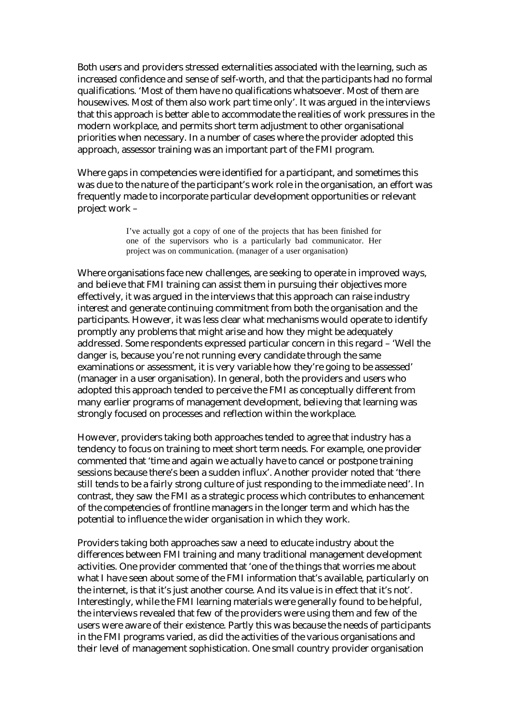Both users and providers stressed externalities associated with the learning, such as increased confidence and sense of self-worth, and that the participants had no formal qualifications. 'Most of them have no qualifications whatsoever. Most of them are housewives. Most of them also work part time only'. It was argued in the interviews that this approach is better able to accommodate the realities of work pressures in the modern workplace, and permits short term adjustment to other organisational priorities when necessary. In a number of cases where the provider adopted this approach, assessor training was an important part of the FMI program.

Where gaps in competencies were identified for a participant, and sometimes this was due to the nature of the participant's work role in the organisation, an effort was frequently made to incorporate particular development opportunities or relevant project work –

> I've actually got a copy of one of the projects that has been finished for one of the supervisors who is a particularly bad communicator. Her project was on communication. (manager of a user organisation)

Where organisations face new challenges, are seeking to operate in improved ways, and believe that FMI training can assist them in pursuing their objectives more effectively, it was argued in the interviews that this approach can raise industry interest and generate continuing commitment from both the organisation and the participants. However, it was less clear what mechanisms would operate to identify promptly any problems that might arise and how they might be adequately addressed. Some respondents expressed particular concern in this regard – 'Well the danger is, because you're not running every candidate through the same examinations or assessment, it is very variable how they're going to be assessed' (manager in a user organisation). In general, both the providers and users who adopted this approach tended to perceive the FMI as conceptually different from many earlier programs of management development, believing that learning was strongly focused on processes and reflection within the workplace.

However, providers taking both approaches tended to agree that industry has a tendency to focus on training to meet short term needs. For example, one provider commented that 'time and again we actually have to cancel or postpone training sessions because there's been a sudden influx'. Another provider noted that 'there still tends to be a fairly strong culture of just responding to the immediate need'. In contrast, they saw the FMI as a strategic process which contributes to enhancement of the competencies of frontline managers in the longer term and which has the potential to influence the wider organisation in which they work.

Providers taking both approaches saw a need to educate industry about the differences between FMI training and many traditional management development activities. One provider commented that 'one of the things that worries me about what I have seen about some of the FMI information that's available, particularly on the internet, is that it's just another course. And its value is in effect that it's not'. Interestingly, while the FMI learning materials were generally found to be helpful, the interviews revealed that few of the providers were using them and few of the users were aware of their existence. Partly this was because the needs of participants in the FMI programs varied, as did the activities of the various organisations and their level of management sophistication. One small country provider organisation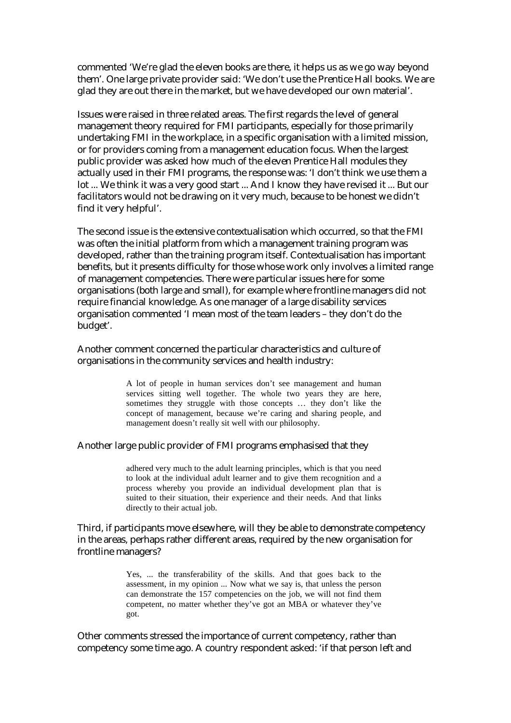commented 'We're glad the eleven books are there, it helps us as we go way beyond them'. One large private provider said: 'We don't use the Prentice Hall books. We are glad they are out there in the market, but we have developed our own material'.

Issues were raised in three related areas. The first regards the level of general management theory required for FMI participants, especially for those primarily undertaking FMI in the workplace, in a specific organisation with a limited mission, or for providers coming from a management education focus. When the largest public provider was asked how much of the eleven Prentice Hall modules they actually used in their FMI programs, the response was: 'I don't think we use them a lot ... We think it was a very good start ... And I know they have revised it ... But our facilitators would not be drawing on it very much, because to be honest we didn't find it very helpful'.

The second issue is the extensive contextualisation which occurred, so that the FMI was often the initial platform from which a management training program was developed, rather than the training program itself. Contextualisation has important benefits, but it presents difficulty for those whose work only involves a limited range of management competencies. There were particular issues here for some organisations (both large and small), for example where frontline managers did not require financial knowledge. As one manager of a large disability services organisation commented 'I mean most of the team leaders – they don't do the budget'.

Another comment concerned the particular characteristics and culture of organisations in the community services and health industry:

> A lot of people in human services don't see management and human services sitting well together. The whole two years they are here, sometimes they struggle with those concepts … they don't like the concept of management, because we're caring and sharing people, and management doesn't really sit well with our philosophy.

#### Another large public provider of FMI programs emphasised that they

adhered very much to the adult learning principles, which is that you need to look at the individual adult learner and to give them recognition and a process whereby you provide an individual development plan that is suited to their situation, their experience and their needs. And that links directly to their actual job.

Third, if participants move elsewhere, will they be able to demonstrate competency in the areas, perhaps rather different areas, required by the new organisation for frontline managers?

> Yes, ... the transferability of the skills. And that goes back to the assessment, in my opinion ... Now what we say is, that unless the person can demonstrate the 157 competencies on the job, we will not find them competent, no matter whether they've got an MBA or whatever they've got.

Other comments stressed the importance of current competency, rather than competency some time ago. A country respondent asked: 'if that person left and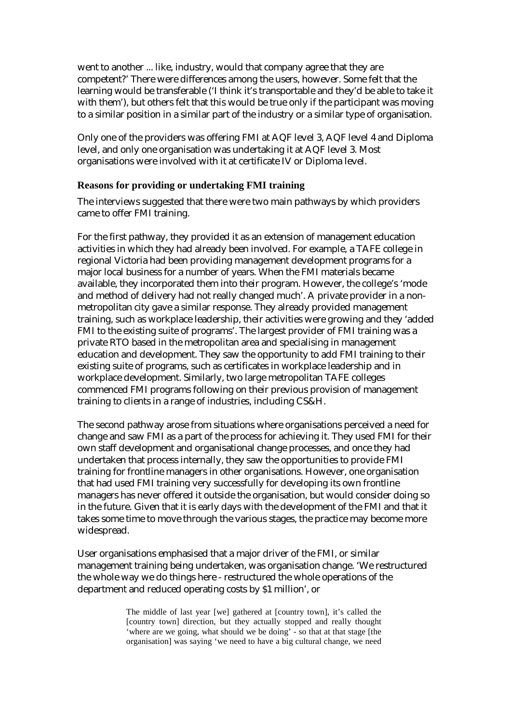went to another ... like, industry, would that company agree that they are competent?' There were differences among the users, however. Some felt that the learning would be transferable ('I think it's transportable and they'd be able to take it with them'), but others felt that this would be true only if the participant was moving to a similar position in a similar part of the industry or a similar type of organisation.

Only one of the providers was offering FMI at AQF level 3, AQF level 4 and Diploma level, and only one organisation was undertaking it at AQF level 3. Most organisations were involved with it at certificate IV or Diploma level.

### **Reasons for providing or undertaking FMI training**

The interviews suggested that there were two main pathways by which providers came to offer FMI training.

For the first pathway, they provided it as an extension of management education activities in which they had already been involved. For example, a TAFE college in regional Victoria had been providing management development programs for a major local business for a number of years. When the FMI materials became available, they incorporated them into their program. However, the college's 'mode and method of delivery had not really changed much'. A private provider in a nonmetropolitan city gave a similar response. They already provided management training, such as workplace leadership, their activities were growing and they 'added FMI to the existing suite of programs'. The largest provider of FMI training was a private RTO based in the metropolitan area and specialising in management education and development. They saw the opportunity to add FMI training to their existing suite of programs, such as certificates in workplace leadership and in workplace development. Similarly, two large metropolitan TAFE colleges commenced FMI programs following on their previous provision of management training to clients in a range of industries, including CS&H.

The second pathway arose from situations where organisations perceived a need for change and saw FMI as a part of the process for achieving it. They used FMI for their own staff development and organisational change processes, and once they had undertaken that process internally, they saw the opportunities to provide FMI training for frontline managers in other organisations. However, one organisation that had used FMI training very successfully for developing its own frontline managers has never offered it outside the organisation, but would consider doing so in the future. Given that it is early days with the development of the FMI and that it takes some time to move through the various stages, the practice may become more widespread.

User organisations emphasised that a major driver of the FMI, or similar management training being undertaken, was organisation change. 'We restructured the whole way we do things here - restructured the whole operations of the department and reduced operating costs by \$1 million', or

> The middle of last year [we] gathered at [country town], it's called the [country town] direction, but they actually stopped and really thought 'where are we going, what should we be doing' - so that at that stage [the organisation] was saying 'we need to have a big cultural change, we need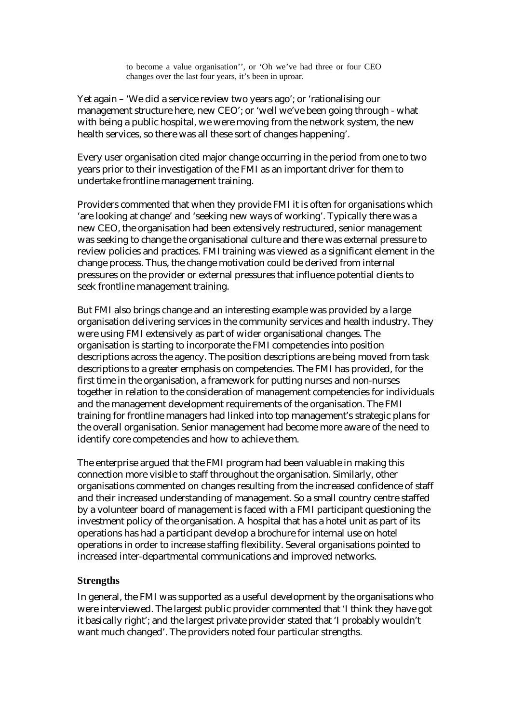to become a value organisation'', or 'Oh we've had three or four CEO changes over the last four years, it's been in uproar.

Yet again – 'We did a service review two years ago'; or 'rationalising our management structure here, new CEO'; or 'well we've been going through - what with being a public hospital, we were moving from the network system, the new health services, so there was all these sort of changes happening'.

Every user organisation cited major change occurring in the period from one to two years prior to their investigation of the FMI as an important driver for them to undertake frontline management training.

Providers commented that when they provide FMI it is often for organisations which 'are looking at change' and 'seeking new ways of working'. Typically there was a new CEO, the organisation had been extensively restructured, senior management was seeking to change the organisational culture and there was external pressure to review policies and practices. FMI training was viewed as a significant element in the change process. Thus, the change motivation could be derived from internal pressures on the provider or external pressures that influence potential clients to seek frontline management training.

But FMI also brings change and an interesting example was provided by a large organisation delivering services in the community services and health industry. They were using FMI extensively as part of wider organisational changes. The organisation is starting to incorporate the FMI competencies into position descriptions across the agency. The position descriptions are being moved from task descriptions to a greater emphasis on competencies. The FMI has provided, for the first time in the organisation, a framework for putting nurses and non-nurses together in relation to the consideration of management competencies for individuals and the management development requirements of the organisation. The FMI training for frontline managers had linked into top management's strategic plans for the overall organisation. Senior management had become more aware of the need to identify core competencies and how to achieve them.

The enterprise argued that the FMI program had been valuable in making this connection more visible to staff throughout the organisation. Similarly, other organisations commented on changes resulting from the increased confidence of staff and their increased understanding of management. So a small country centre staffed by a volunteer board of management is faced with a FMI participant questioning the investment policy of the organisation. A hospital that has a hotel unit as part of its operations has had a participant develop a brochure for internal use on hotel operations in order to increase staffing flexibility. Several organisations pointed to increased inter-departmental communications and improved networks.

#### **Strengths**

In general, the FMI was supported as a useful development by the organisations who were interviewed. The largest public provider commented that 'I think they have got it basically right'; and the largest private provider stated that 'I probably wouldn't want much changed'. The providers noted four particular strengths.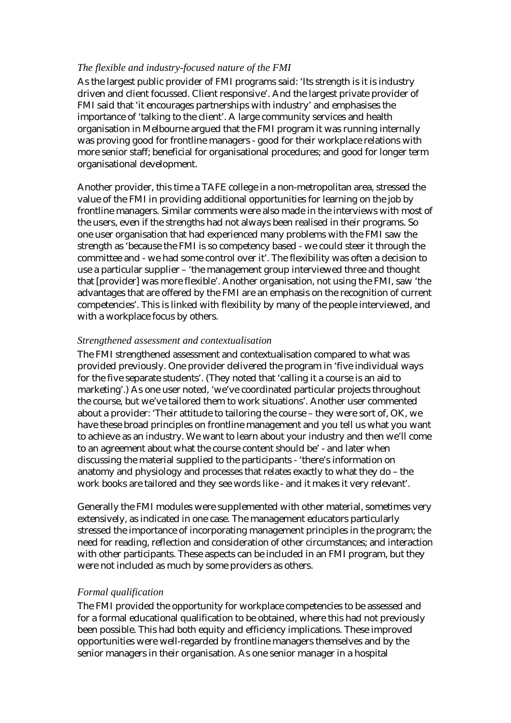### *The flexible and industry-focused nature of the FMI*

As the largest public provider of FMI programs said: 'Its strength is it is industry driven and client focussed. Client responsive'. And the largest private provider of FMI said that 'it encourages partnerships with industry' and emphasises the importance of 'talking to the client'. A large community services and health organisation in Melbourne argued that the FMI program it was running internally was proving good for frontline managers - good for their workplace relations with more senior staff; beneficial for organisational procedures; and good for longer term organisational development.

Another provider, this time a TAFE college in a non-metropolitan area, stressed the value of the FMI in providing additional opportunities for learning on the job by frontline managers. Similar comments were also made in the interviews with most of the users, even if the strengths had not always been realised in their programs. So one user organisation that had experienced many problems with the FMI saw the strength as 'because the FMI is so competency based - we could steer it through the committee and - we had some control over it'. The flexibility was often a decision to use a particular supplier – 'the management group interviewed three and thought that [provider] was more flexible'. Another organisation, not using the FMI, saw 'the advantages that are offered by the FMI are an emphasis on the recognition of current competencies'. This is linked with flexibility by many of the people interviewed, and with a workplace focus by others.

### *Strengthened assessment and contextualisation*

The FMI strengthened assessment and contextualisation compared to what was provided previously. One provider delivered the program in 'five individual ways for the five separate students'. (They noted that 'calling it a course is an aid to marketing'.) As one user noted, 'we've coordinated particular projects throughout the course, but we've tailored them to work situations'. Another user commented about a provider: 'Their attitude to tailoring the course – they were sort of, OK, we have these broad principles on frontline management and you tell us what you want to achieve as an industry. We want to learn about your industry and then we'll come to an agreement about what the course content should be' - and later when discussing the material supplied to the participants - 'there's information on anatomy and physiology and processes that relates exactly to what they do – the work books are tailored and they see words like - and it makes it very relevant'.

Generally the FMI modules were supplemented with other material, sometimes very extensively, as indicated in one case. The management educators particularly stressed the importance of incorporating management principles in the program; the need for reading, reflection and consideration of other circumstances; and interaction with other participants. These aspects can be included in an FMI program, but they were not included as much by some providers as others.

### *Formal qualification*

The FMI provided the opportunity for workplace competencies to be assessed and for a formal educational qualification to be obtained, where this had not previously been possible. This had both equity and efficiency implications. These improved opportunities were well-regarded by frontline managers themselves and by the senior managers in their organisation. As one senior manager in a hospital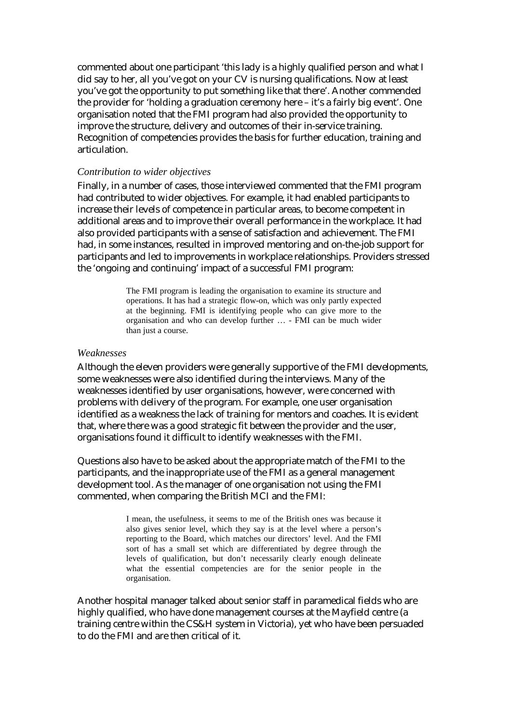commented about one participant 'this lady is a highly qualified person and what I did say to her, all you've got on your CV is nursing qualifications. Now at least you've got the opportunity to put something like that there'. Another commended the provider for 'holding a graduation ceremony here – it's a fairly big event'. One organisation noted that the FMI program had also provided the opportunity to improve the structure, delivery and outcomes of their in-service training. Recognition of competencies provides the basis for further education, training and articulation.

### *Contribution to wider objectives*

Finally, in a number of cases, those interviewed commented that the FMI program had contributed to wider objectives. For example, it had enabled participants to increase their levels of competence in particular areas, to become competent in additional areas and to improve their overall performance in the workplace. It had also provided participants with a sense of satisfaction and achievement. The FMI had, in some instances, resulted in improved mentoring and on-the-job support for participants and led to improvements in workplace relationships. Providers stressed the 'ongoing and continuing' impact of a successful FMI program:

> The FMI program is leading the organisation to examine its structure and operations. It has had a strategic flow-on, which was only partly expected at the beginning. FMI is identifying people who can give more to the organisation and who can develop further … - FMI can be much wider than just a course.

### *Weaknesses*

Although the eleven providers were generally supportive of the FMI developments, some weaknesses were also identified during the interviews. Many of the weaknesses identified by user organisations, however, were concerned with problems with delivery of the program. For example, one user organisation identified as a weakness the lack of training for mentors and coaches. It is evident that, where there was a good strategic fit between the provider and the user, organisations found it difficult to identify weaknesses with the FMI.

Questions also have to be asked about the appropriate match of the FMI to the participants, and the inappropriate use of the FMI as a general management development tool. As the manager of one organisation not using the FMI commented, when comparing the British MCI and the FMI:

> I mean, the usefulness, it seems to me of the British ones was because it also gives senior level, which they say is at the level where a person's reporting to the Board, which matches our directors' level. And the FMI sort of has a small set which are differentiated by degree through the levels of qualification, but don't necessarily clearly enough delineate what the essential competencies are for the senior people in the organisation.

Another hospital manager talked about senior staff in paramedical fields who are highly qualified, who have done management courses at the Mayfield centre (a training centre within the CS&H system in Victoria), yet who have been persuaded to do the FMI and are then critical of it.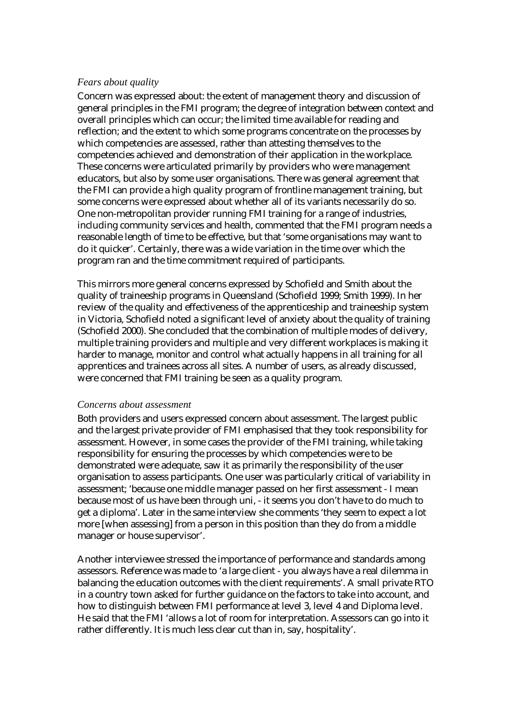### *Fears about quality*

Concern was expressed about: the extent of management theory and discussion of general principles in the FMI program; the degree of integration between context and overall principles which can occur; the limited time available for reading and reflection; and the extent to which some programs concentrate on the processes by which competencies are assessed, rather than attesting themselves to the competencies achieved and demonstration of their application in the workplace. These concerns were articulated primarily by providers who were management educators, but also by some user organisations. There was general agreement that the FMI can provide a high quality program of frontline management training, but some concerns were expressed about whether all of its variants necessarily do so. One non-metropolitan provider running FMI training for a range of industries, including community services and health, commented that the FMI program needs a reasonable length of time to be effective, but that 'some organisations may want to do it quicker'. Certainly, there was a wide variation in the time over which the program ran and the time commitment required of participants.

This mirrors more general concerns expressed by Schofield and Smith about the quality of traineeship programs in Queensland (Schofield 1999; Smith 1999). In her review of the quality and effectiveness of the apprenticeship and traineeship system in Victoria, Schofield noted a significant level of anxiety about the quality of training (Schofield 2000). She concluded that the combination of multiple modes of delivery, multiple training providers and multiple and very different workplaces is making it harder to manage, monitor and control what actually happens in all training for all apprentices and trainees across all sites. A number of users, as already discussed, were concerned that FMI training be seen as a quality program.

### *Concerns about assessment*

Both providers and users expressed concern about assessment. The largest public and the largest private provider of FMI emphasised that they took responsibility for assessment. However, in some cases the provider of the FMI training, while taking responsibility for ensuring the processes by which competencies were to be demonstrated were adequate, saw it as primarily the responsibility of the user organisation to assess participants. One user was particularly critical of variability in assessment; 'because one middle manager passed on her first assessment - I mean because most of us have been through uni, - it seems you don't have to do much to get a diploma'. Later in the same interview she comments 'they seem to expect a lot more [when assessing] from a person in this position than they do from a middle manager or house supervisor'.

Another interviewee stressed the importance of performance and standards among assessors. Reference was made to 'a large client - you always have a real dilemma in balancing the education outcomes with the client requirements'. A small private RTO in a country town asked for further guidance on the factors to take into account, and how to distinguish between FMI performance at level 3, level 4 and Diploma level. He said that the FMI 'allows a lot of room for interpretation. Assessors can go into it rather differently. It is much less clear cut than in, say, hospitality'.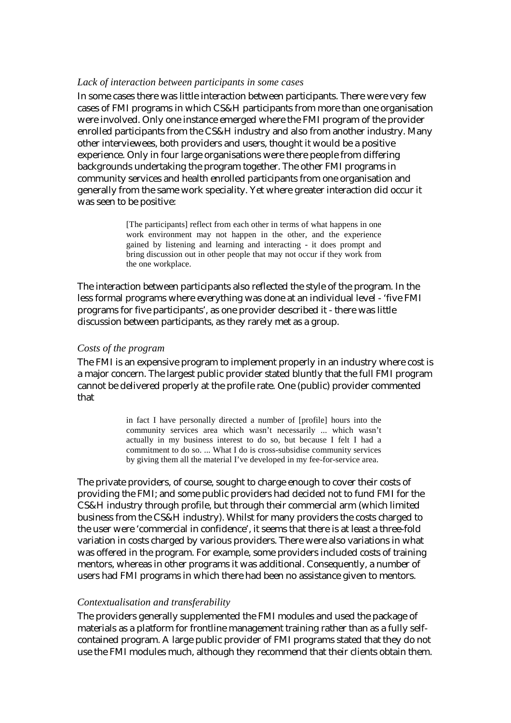#### *Lack of interaction between participants in some cases*

In some cases there was little interaction between participants. There were very few cases of FMI programs in which CS&H participants from more than one organisation were involved. Only one instance emerged where the FMI program of the provider enrolled participants from the CS&H industry and also from another industry. Many other interviewees, both providers and users, thought it would be a positive experience. Only in four large organisations were there people from differing backgrounds undertaking the program together. The other FMI programs in community services and health enrolled participants from one organisation and generally from the same work speciality. Yet where greater interaction did occur it was seen to be positive:

> [The participants] reflect from each other in terms of what happens in one work environment may not happen in the other, and the experience gained by listening and learning and interacting - it does prompt and bring discussion out in other people that may not occur if they work from the one workplace.

The interaction between participants also reflected the style of the program. In the less formal programs where everything was done at an individual level - 'five FMI programs for five participants', as one provider described it - there was little discussion between participants, as they rarely met as a group.

#### *Costs of the program*

The FMI is an expensive program to implement properly in an industry where cost is a major concern. The largest public provider stated bluntly that the full FMI program cannot be delivered properly at the profile rate. One (public) provider commented that

> in fact I have personally directed a number of [profile] hours into the community services area which wasn't necessarily ... which wasn't actually in my business interest to do so, but because I felt I had a commitment to do so. ... What I do is cross-subsidise community services by giving them all the material I've developed in my fee-for-service area.

The private providers, of course, sought to charge enough to cover their costs of providing the FMI; and some public providers had decided not to fund FMI for the CS&H industry through profile, but through their commercial arm (which limited business from the CS&H industry). Whilst for many providers the costs charged to the user were 'commercial in confidence', it seems that there is at least a three-fold variation in costs charged by various providers. There were also variations in what was offered in the program. For example, some providers included costs of training mentors, whereas in other programs it was additional. Consequently, a number of users had FMI programs in which there had been no assistance given to mentors.

#### *Contextualisation and transferability*

The providers generally supplemented the FMI modules and used the package of materials as a platform for frontline management training rather than as a fully selfcontained program. A large public provider of FMI programs stated that they do not use the FMI modules much, although they recommend that their clients obtain them.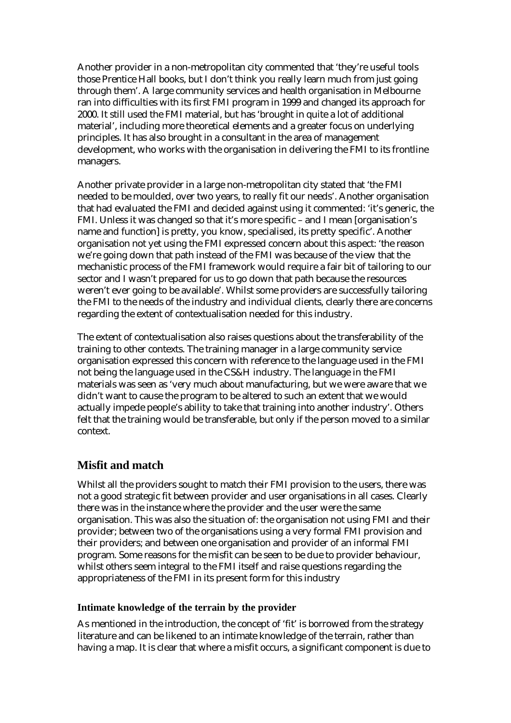Another provider in a non-metropolitan city commented that 'they're useful tools those Prentice Hall books, but I don't think you really learn much from just going through them'. A large community services and health organisation in Melbourne ran into difficulties with its first FMI program in 1999 and changed its approach for 2000. It still used the FMI material, but has 'brought in quite a lot of additional material', including more theoretical elements and a greater focus on underlying principles. It has also brought in a consultant in the area of management development, who works with the organisation in delivering the FMI to its frontline managers.

Another private provider in a large non-metropolitan city stated that 'the FMI needed to be moulded, over two years, to really fit our needs'. Another organisation that had evaluated the FMI and decided against using it commented: 'it's generic, the FMI. Unless it was changed so that it's more specific – and I mean [organisation's name and function] is pretty, you know, specialised, its pretty specific'. Another organisation not yet using the FMI expressed concern about this aspect: 'the reason we're going down that path instead of the FMI was because of the view that the mechanistic process of the FMI framework would require a fair bit of tailoring to our sector and I wasn't prepared for us to go down that path because the resources weren't ever going to be available'. Whilst some providers are successfully tailoring the FMI to the needs of the industry and individual clients, clearly there are concerns regarding the extent of contextualisation needed for this industry.

The extent of contextualisation also raises questions about the transferability of the training to other contexts. The training manager in a large community service organisation expressed this concern with reference to the language used in the FMI not being the language used in the CS&H industry. The language in the FMI materials was seen as 'very much about manufacturing, but we were aware that we didn't want to cause the program to be altered to such an extent that we would actually impede people's ability to take that training into another industry'. Others felt that the training would be transferable, but only if the person moved to a similar context.

# **Misfit and match**

Whilst all the providers sought to match their FMI provision to the users, there was not a good strategic fit between provider and user organisations in all cases. Clearly there was in the instance where the provider and the user were the same organisation. This was also the situation of: the organisation not using FMI and their provider; between two of the organisations using a very formal FMI provision and their providers; and between one organisation and provider of an informal FMI program. Some reasons for the misfit can be seen to be due to provider behaviour, whilst others seem integral to the FMI itself and raise questions regarding the appropriateness of the FMI in its present form for this industry

## **Intimate knowledge of the terrain by the provider**

As mentioned in the introduction, the concept of 'fit' is borrowed from the strategy literature and can be likened to an intimate knowledge of the terrain, rather than having a map. It is clear that where a misfit occurs, a significant component is due to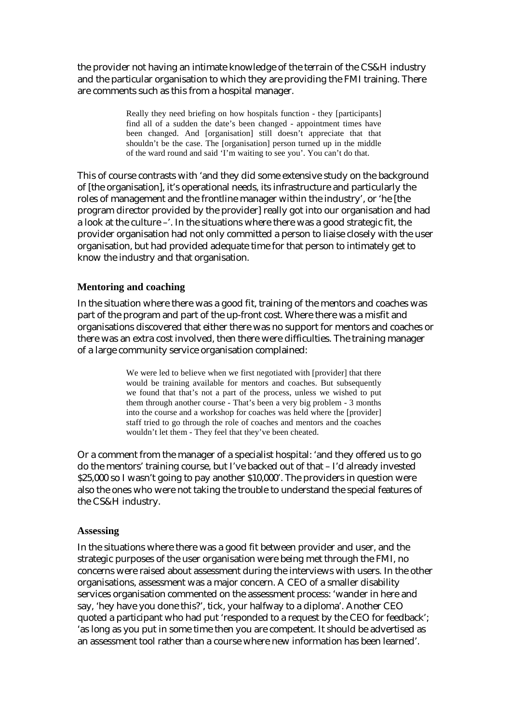the provider not having an intimate knowledge of the terrain of the CS&H industry and the particular organisation to which they are providing the FMI training. There are comments such as this from a hospital manager.

> Really they need briefing on how hospitals function - they [participants] find all of a sudden the date's been changed - appointment times have been changed. And [organisation] still doesn't appreciate that that shouldn't be the case. The [organisation] person turned up in the middle of the ward round and said 'I'm waiting to see you'. You can't do that.

This of course contrasts with 'and they did some extensive study on the background of [the organisation], it's operational needs, its infrastructure and particularly the roles of management and the frontline manager within the industry', or 'he [the program director provided by the provider] really got into our organisation and had a look at the culture –'. In the situations where there was a good strategic fit, the provider organisation had not only committed a person to liaise closely with the user organisation, but had provided adequate time for that person to intimately get to know the industry and that organisation.

### **Mentoring and coaching**

In the situation where there was a good fit, training of the mentors and coaches was part of the program and part of the up-front cost. Where there was a misfit and organisations discovered that either there was no support for mentors and coaches or there was an extra cost involved, then there were difficulties. The training manager of a large community service organisation complained:

> We were led to believe when we first negotiated with [provider] that there would be training available for mentors and coaches. But subsequently we found that that's not a part of the process, unless we wished to put them through another course - That's been a very big problem - 3 months into the course and a workshop for coaches was held where the [provider] staff tried to go through the role of coaches and mentors and the coaches wouldn't let them - They feel that they've been cheated.

Or a comment from the manager of a specialist hospital: 'and they offered us to go do the mentors' training course, but I've backed out of that – I'd already invested \$25,000 so I wasn't going to pay another \$10,000'. The providers in question were also the ones who were not taking the trouble to understand the special features of the CS&H industry.

#### **Assessing**

In the situations where there was a good fit between provider and user, and the strategic purposes of the user organisation were being met through the FMI, no concerns were raised about assessment during the interviews with users. In the other organisations, assessment was a major concern. A CEO of a smaller disability services organisation commented on the assessment process: 'wander in here and say, 'hey have you done this?', tick, your halfway to a diploma'. Another CEO quoted a participant who had put 'responded to a request by the CEO for feedback'; 'as long as you put in some time then you are competent. It should be advertised as an assessment tool rather than a course where new information has been learned'.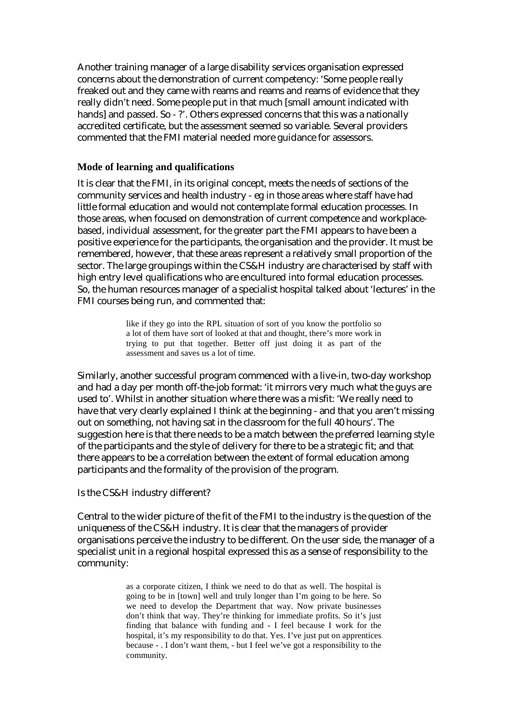Another training manager of a large disability services organisation expressed concerns about the demonstration of current competency: 'Some people really freaked out and they came with reams and reams and reams of evidence that they really didn't need. Some people put in that much [small amount indicated with hands] and passed. So - ?'. Others expressed concerns that this was a nationally accredited certificate, but the assessment seemed so variable. Several providers commented that the FMI material needed more guidance for assessors.

### **Mode of learning and qualifications**

It is clear that the FMI, in its original concept, meets the needs of sections of the community services and health industry - eg in those areas where staff have had little formal education and would not contemplate formal education processes. In those areas, when focused on demonstration of current competence and workplacebased, individual assessment, for the greater part the FMI appears to have been a positive experience for the participants, the organisation and the provider. It must be remembered, however, that these areas represent a relatively small proportion of the sector. The large groupings within the CS&H industry are characterised by staff with high entry level qualifications who are encultured into formal education processes. So, the human resources manager of a specialist hospital talked about 'lectures' in the FMI courses being run, and commented that:

> like if they go into the RPL situation of sort of you know the portfolio so a lot of them have sort of looked at that and thought, there's more work in trying to put that together. Better off just doing it as part of the assessment and saves us a lot of time.

Similarly, another successful program commenced with a live-in, two-day workshop and had a day per month off-the-job format: 'it mirrors very much what the guys are used to'. Whilst in another situation where there was a misfit: 'We really need to have that very clearly explained I think at the beginning - and that you aren't missing out on something, not having sat in the classroom for the full 40 hours'. The suggestion here is that there needs to be a match between the preferred learning style of the participants and the style of delivery for there to be a strategic fit; and that there appears to be a correlation between the extent of formal education among participants and the formality of the provision of the program.

### Is the CS&H industry different?

Central to the wider picture of the fit of the FMI to the industry is the question of the uniqueness of the CS&H industry. It is clear that the managers of provider organisations perceive the industry to be different. On the user side, the manager of a specialist unit in a regional hospital expressed this as a sense of responsibility to the community:

> as a corporate citizen, I think we need to do that as well. The hospital is going to be in [town] well and truly longer than I'm going to be here. So we need to develop the Department that way. Now private businesses don't think that way. They're thinking for immediate profits. So it's just finding that balance with funding and - I feel because I work for the hospital, it's my responsibility to do that. Yes. I've just put on apprentices because - . I don't want them, - but I feel we've got a responsibility to the community.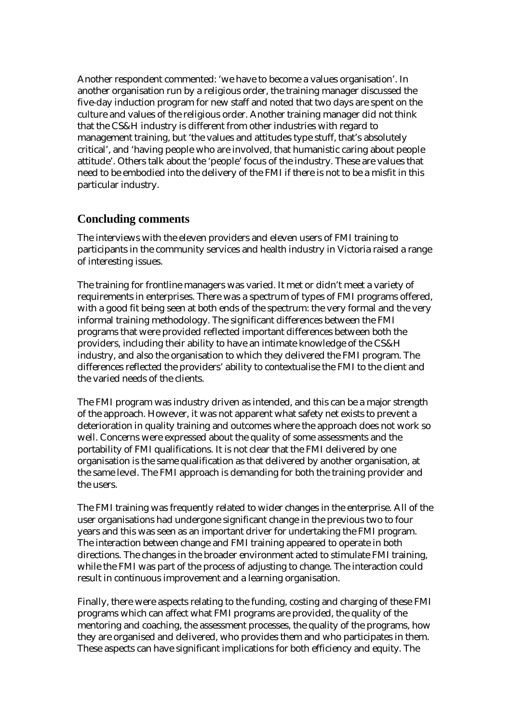Another respondent commented: 'we have to become a values organisation'. In another organisation run by a religious order, the training manager discussed the five-day induction program for new staff and noted that two days are spent on the culture and values of the religious order. Another training manager did not think that the CS&H industry is different from other industries with regard to management training, but 'the values and attitudes type stuff, that's absolutely critical', and 'having people who are involved, that humanistic caring about people attitude'. Others talk about the 'people' focus of the industry. These are values that need to be embodied into the delivery of the FMI if there is not to be a misfit in this particular industry.

# **Concluding comments**

The interviews with the eleven providers and eleven users of FMI training to participants in the community services and health industry in Victoria raised a range of interesting issues.

The training for frontline managers was varied. It met or didn't meet a variety of requirements in enterprises. There was a spectrum of types of FMI programs offered, with a good fit being seen at both ends of the spectrum: the very formal and the very informal training methodology. The significant differences between the FMI programs that were provided reflected important differences between both the providers, including their ability to have an intimate knowledge of the CS&H industry, and also the organisation to which they delivered the FMI program. The differences reflected the providers' ability to contextualise the FMI to the client and the varied needs of the clients.

The FMI program was industry driven as intended, and this can be a major strength of the approach. However, it was not apparent what safety net exists to prevent a deterioration in quality training and outcomes where the approach does not work so well. Concerns were expressed about the quality of some assessments and the portability of FMI qualifications. It is not clear that the FMI delivered by one organisation is the same qualification as that delivered by another organisation, at the same level. The FMI approach is demanding for both the training provider and the users.

The FMI training was frequently related to wider changes in the enterprise. All of the user organisations had undergone significant change in the previous two to four years and this was seen as an important driver for undertaking the FMI program. The interaction between change and FMI training appeared to operate in both directions. The changes in the broader environment acted to stimulate FMI training, while the FMI was part of the process of adjusting to change. The interaction could result in continuous improvement and a learning organisation.

Finally, there were aspects relating to the funding, costing and charging of these FMI programs which can affect what FMI programs are provided, the quality of the mentoring and coaching, the assessment processes, the quality of the programs, how they are organised and delivered, who provides them and who participates in them. These aspects can have significant implications for both efficiency and equity. The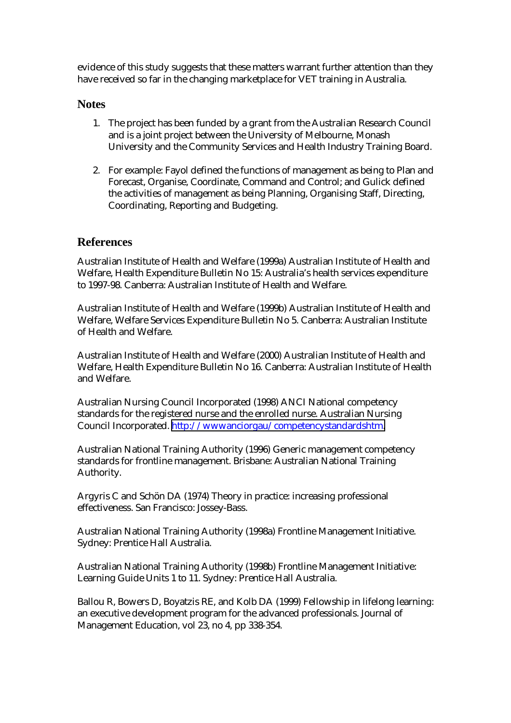evidence of this study suggests that these matters warrant further attention than they have received so far in the changing marketplace for VET training in Australia.

# **Notes**

- 1. The project has been funded by a grant from the Australian Research Council and is a joint project between the University of Melbourne, Monash University and the Community Services and Health Industry Training Board.
- 2. For example: Fayol defined the functions of management as being to Plan and Forecast, Organise, Coordinate, Command and Control; and Gulick defined the activities of management as being Planning, Organising Staff, Directing, Coordinating, Reporting and Budgeting.

# **References**

Australian Institute of Health and Welfare (1999a) Australian Institute of Health and Welfare, Health Expenditure Bulletin No 15: Australia's health services expenditure to 1997-98. Canberra: Australian Institute of Health and Welfare.

Australian Institute of Health and Welfare (1999b) Australian Institute of Health and Welfare, Welfare Services Expenditure Bulletin No 5. Canberra: Australian Institute of Health and Welfare.

Australian Institute of Health and Welfare (2000) Australian Institute of Health and Welfare, Health Expenditure Bulletin No 16. Canberra: Australian Institute of Health and Welfare.

Australian Nursing Council Incorporated (1998) ANCI National competency standards for the registered nurse and the enrolled nurse. Australian Nursing Council Incorporated. [http://wwwanciorgau/competencystandardshtm.](http://www.anci.org.au/competencystandards.htm)

Australian National Training Authority (1996) Generic management competency standards for frontline management. Brisbane: Australian National Training Authority.

Argyris C and Schön DA (1974) Theory in practice: increasing professional effectiveness. San Francisco: Jossey-Bass.

Australian National Training Authority (1998a) Frontline Management Initiative. Sydney: Prentice Hall Australia.

Australian National Training Authority (1998b) Frontline Management Initiative: Learning Guide Units 1 to 11. Sydney: Prentice Hall Australia.

Ballou R, Bowers D, Boyatzis RE, and Kolb DA (1999) Fellowship in lifelong learning: an executive development program for the advanced professionals. Journal of Management Education, vol 23, no 4, pp 338-354.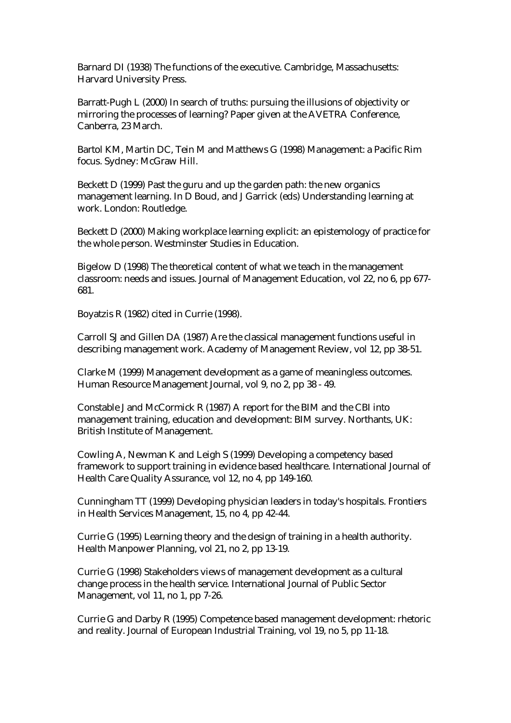Barnard DI (1938) The functions of the executive. Cambridge, Massachusetts: Harvard University Press.

Barratt-Pugh L (2000) In search of truths: pursuing the illusions of objectivity or mirroring the processes of learning? Paper given at the AVETRA Conference, Canberra, 23 March.

Bartol KM, Martin DC, Tein M and Matthews G (1998) Management: a Pacific Rim focus. Sydney: McGraw Hill.

Beckett D (1999) Past the guru and up the garden path: the new organics management learning. In D Boud, and J Garrick (eds) Understanding learning at work. London: Routledge.

Beckett D (2000) Making workplace learning explicit: an epistemology of practice for the whole person. Westminster Studies in Education.

Bigelow D (1998) The theoretical content of what we teach in the management classroom: needs and issues. Journal of Management Education, vol 22, no 6, pp 677- 681.

Boyatzis R (1982) cited in Currie (1998).

Carroll SJ and Gillen DA (1987) Are the classical management functions useful in describing management work. Academy of Management Review, vol 12, pp 38-51.

Clarke M (1999) Management development as a game of meaningless outcomes. Human Resource Management Journal, vol 9, no 2, pp 38 - 49.

Constable J and McCormick R (1987) A report for the BIM and the CBI into management training, education and development: BIM survey. Northants, UK: British Institute of Management.

Cowling A, Newman K and Leigh S (1999) Developing a competency based framework to support training in evidence based healthcare. International Journal of Health Care Quality Assurance, vol 12, no 4, pp 149-160.

Cunningham TT (1999) Developing physician leaders in today's hospitals. Frontiers in Health Services Management, 15, no 4, pp 42-44.

Currie G (1995) Learning theory and the design of training in a health authority. Health Manpower Planning, vol 21, no 2, pp 13-19.

Currie G (1998) Stakeholders views of management development as a cultural change process in the health service. International Journal of Public Sector Management, vol 11, no 1, pp 7-26.

Currie G and Darby R (1995) Competence based management development: rhetoric and reality. Journal of European Industrial Training, vol 19, no 5, pp 11-18.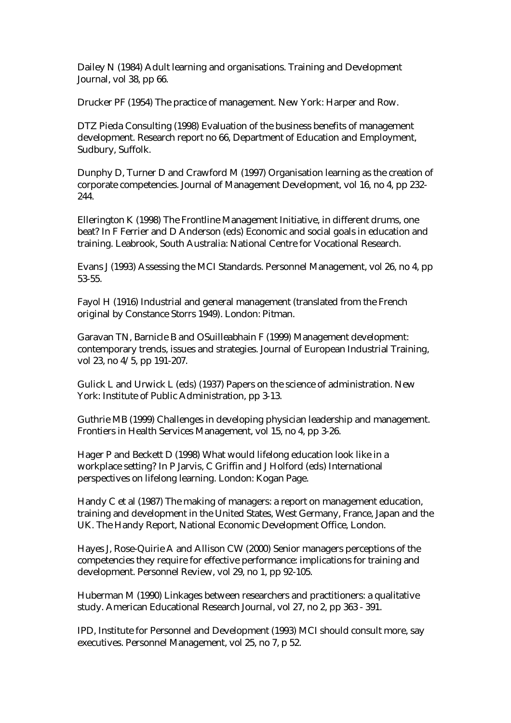Dailey N (1984) Adult learning and organisations. Training and Development Journal, vol 38, pp 66.

Drucker PF (1954) The practice of management. New York: Harper and Row.

DTZ Pieda Consulting (1998) Evaluation of the business benefits of management development. Research report no 66, Department of Education and Employment, Sudbury, Suffolk.

Dunphy D, Turner D and Crawford M (1997) Organisation learning as the creation of corporate competencies. Journal of Management Development, vol 16, no 4, pp 232- 244.

Ellerington K (1998) The Frontline Management Initiative, in different drums, one beat? In F Ferrier and D Anderson (eds) Economic and social goals in education and training. Leabrook, South Australia: National Centre for Vocational Research.

Evans J (1993) Assessing the MCI Standards. Personnel Management, vol 26, no 4, pp 53-55.

Fayol H (1916) Industrial and general management (translated from the French original by Constance Storrs 1949). London: Pitman.

Garavan TN, Barnicle B and OSuilleabhain F (1999) Management development: contemporary trends, issues and strategies. Journal of European Industrial Training, vol 23, no 4/5, pp 191-207.

Gulick L and Urwick L (eds) (1937) Papers on the science of administration. New York: Institute of Public Administration, pp 3-13.

Guthrie MB (1999) Challenges in developing physician leadership and management. Frontiers in Health Services Management, vol 15, no 4, pp 3-26.

Hager P and Beckett D (1998) What would lifelong education look like in a workplace setting? In P Jarvis, C Griffin and J Holford (eds) International perspectives on lifelong learning. London: Kogan Page.

Handy C et al (1987) The making of managers: a report on management education, training and development in the United States, West Germany, France, Japan and the UK. The Handy Report, National Economic Development Office, London.

Hayes J, Rose-Quirie A and Allison CW (2000) Senior managers perceptions of the competencies they require for effective performance: implications for training and development. Personnel Review, vol 29, no 1, pp 92-105.

Huberman M (1990) Linkages between researchers and practitioners: a qualitative study. American Educational Research Journal, vol 27, no 2, pp 363 - 391.

IPD, Institute for Personnel and Development (1993) MCI should consult more, say executives. Personnel Management, vol 25, no 7, p 52.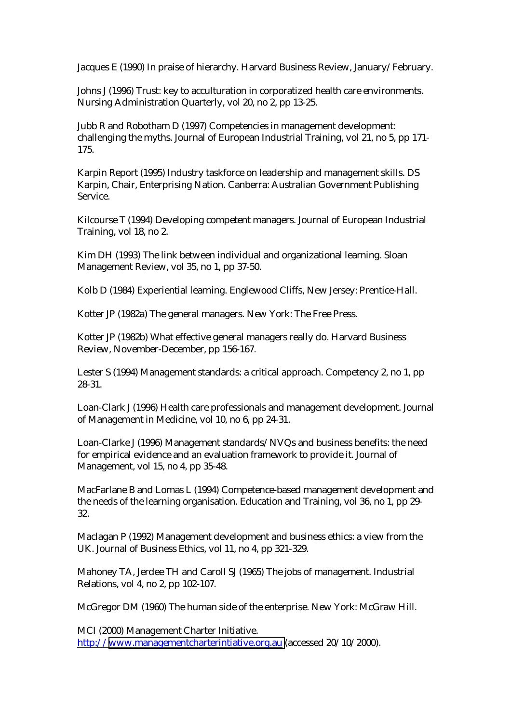Jacques E (1990) In praise of hierarchy. Harvard Business Review, January/February.

Johns J (1996) Trust: key to acculturation in corporatized health care environments. Nursing Administration Quarterly, vol 20, no 2, pp 13-25.

Jubb R and Robotham D (1997) Competencies in management development: challenging the myths. Journal of European Industrial Training, vol 21, no 5, pp 171- 175.

Karpin Report (1995) Industry taskforce on leadership and management skills. DS Karpin, Chair, Enterprising Nation. Canberra: Australian Government Publishing Service.

Kilcourse T (1994) Developing competent managers. Journal of European Industrial Training, vol 18, no 2.

Kim DH (1993) The link between individual and organizational learning. Sloan Management Review, vol 35, no 1, pp 37-50.

Kolb D (1984) Experiential learning. Englewood Cliffs, New Jersey: Prentice-Hall.

Kotter JP (1982a) The general managers. New York: The Free Press.

Kotter JP (1982b) What effective general managers really do. Harvard Business Review, November-December, pp 156-167.

Lester S (1994) Management standards: a critical approach. Competency 2, no 1, pp 28-31.

Loan-Clark J (1996) Health care professionals and management development. Journal of Management in Medicine, vol 10, no 6, pp 24-31.

Loan-Clarke J (1996) Management standards/NVQs and business benefits: the need for empirical evidence and an evaluation framework to provide it. Journal of Management, vol 15, no 4, pp 35-48.

MacFarlane B and Lomas L (1994) Competence-based management development and the needs of the learning organisation. Education and Training, vol 36, no 1, pp 29- 32.

Maclagan P (1992) Management development and business ethics: a view from the UK. Journal of Business Ethics, vol 11, no 4, pp 321-329.

Mahoney TA, Jerdee TH and Caroll SJ (1965) The jobs of management. Industrial Relations, vol 4, no 2, pp 102-107.

McGregor DM (1960) The human side of the enterprise. New York: McGraw Hill.

MCI (2000) Management Charter Initiative. http://[www.managementcharterintiative.org.au](http://www.managementcharterintiative.org.au/) (accessed 20/10/2000).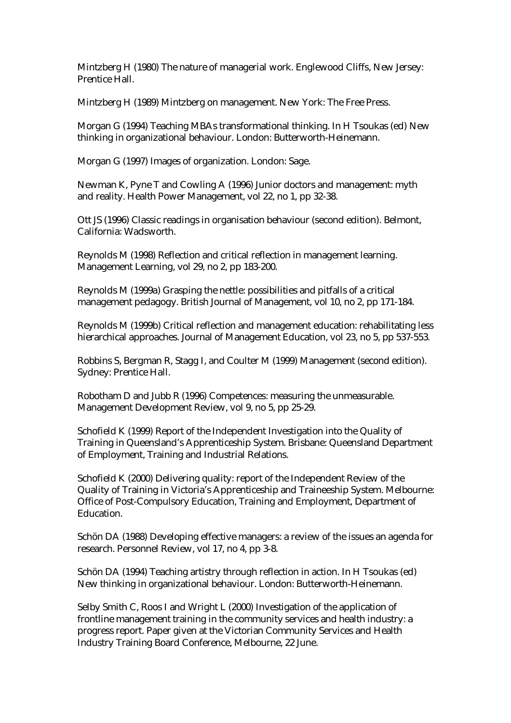Mintzberg H (1980) The nature of managerial work. Englewood Cliffs, New Jersey: Prentice Hall.

Mintzberg H (1989) Mintzberg on management. New York: The Free Press.

Morgan G (1994) Teaching MBAs transformational thinking. In H Tsoukas (ed) New thinking in organizational behaviour. London: Butterworth-Heinemann.

Morgan G (1997) Images of organization. London: Sage.

Newman K, Pyne T and Cowling A (1996) Junior doctors and management: myth and reality. Health Power Management, vol 22, no 1, pp 32-38.

Ott JS (1996) Classic readings in organisation behaviour (second edition). Belmont, California: Wadsworth.

Reynolds M (1998) Reflection and critical reflection in management learning. Management Learning, vol 29, no 2, pp 183-200.

Reynolds M (1999a) Grasping the nettle: possibilities and pitfalls of a critical management pedagogy. British Journal of Management, vol 10, no 2, pp 171-184.

Reynolds M (1999b) Critical reflection and management education: rehabilitating less hierarchical approaches. Journal of Management Education, vol 23, no 5, pp 537-553.

Robbins S, Bergman R, Stagg I, and Coulter M (1999) Management (second edition). Sydney: Prentice Hall.

Robotham D and Jubb R (1996) Competences: measuring the unmeasurable. Management Development Review, vol 9, no 5, pp 25-29.

Schofield K (1999) Report of the Independent Investigation into the Quality of Training in Queensland's Apprenticeship System. Brisbane: Queensland Department of Employment, Training and Industrial Relations.

Schofield K (2000) Delivering quality: report of the Independent Review of the Quality of Training in Victoria's Apprenticeship and Traineeship System. Melbourne: Office of Post-Compulsory Education, Training and Employment, Department of Education.

Schön DA (1988) Developing effective managers: a review of the issues an agenda for research. Personnel Review, vol 17, no 4, pp 3-8.

Schön DA (1994) Teaching artistry through reflection in action. In H Tsoukas (ed) New thinking in organizational behaviour. London: Butterworth-Heinemann.

Selby Smith C, Roos I and Wright L (2000) Investigation of the application of frontline management training in the community services and health industry: a progress report. Paper given at the Victorian Community Services and Health Industry Training Board Conference, Melbourne, 22 June.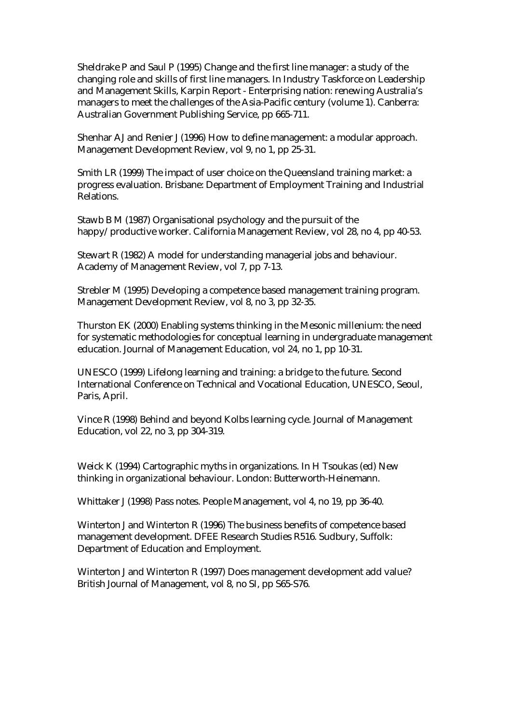Sheldrake P and Saul P (1995) Change and the first line manager: a study of the changing role and skills of first line managers. In Industry Taskforce on Leadership and Management Skills, Karpin Report - Enterprising nation: renewing Australia's managers to meet the challenges of the Asia-Pacific century (volume 1). Canberra: Australian Government Publishing Service, pp 665-711.

Shenhar AJ and Renier J (1996) How to define management: a modular approach. Management Development Review, vol 9, no 1, pp 25-31.

Smith LR (1999) The impact of user choice on the Queensland training market: a progress evaluation. Brisbane: Department of Employment Training and Industrial Relations.

Stawb B M (1987) Organisational psychology and the pursuit of the happy/productive worker. California Management Review, vol 28, no 4, pp 40-53.

Stewart R (1982) A model for understanding managerial jobs and behaviour. Academy of Management Review, vol 7, pp 7-13.

Strebler M (1995) Developing a competence based management training program. Management Development Review, vol 8, no 3, pp 32-35.

Thurston EK (2000) Enabling systems thinking in the Mesonic millenium: the need for systematic methodologies for conceptual learning in undergraduate management education. Journal of Management Education, vol 24, no 1, pp 10-31.

UNESCO (1999) Lifelong learning and training: a bridge to the future. Second International Conference on Technical and Vocational Education, UNESCO, Seoul, Paris, April.

Vince R (1998) Behind and beyond Kolbs learning cycle. Journal of Management Education, vol 22, no 3, pp 304-319.

Weick K (1994) Cartographic myths in organizations. In H Tsoukas (ed) New thinking in organizational behaviour. London: Butterworth-Heinemann.

Whittaker J (1998) Pass notes. People Management, vol 4, no 19, pp 36-40.

Winterton J and Winterton R (1996) The business benefits of competence based management development. DFEE Research Studies R516. Sudbury, Suffolk: Department of Education and Employment.

Winterton J and Winterton R (1997) Does management development add value? British Journal of Management, vol 8, no SI, pp S65-S76.